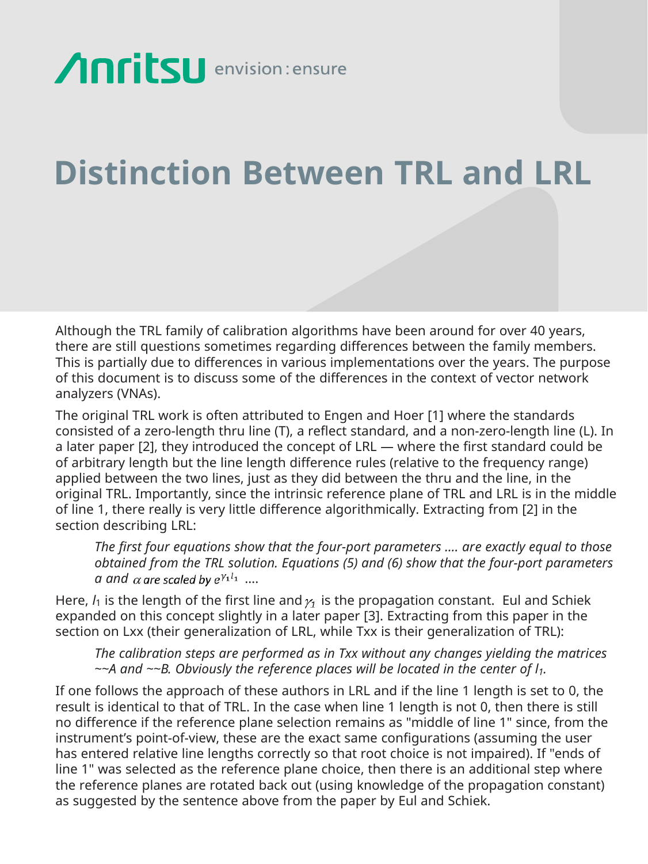## **Anritsu** envision: ensure

## **Distinction Between TRL and LRL**

Although the TRL family of calibration algorithms have been around for over 40 years, there are still questions sometimes regarding differences between the family members. This is partially due to differences in various implementations over the years. The purpose of this document is to discuss some of the differences in the context of vector network analyzers (VNAs).

The original TRL work is often attributed to Engen and Hoer [1] where the standards consisted of a zero-length thru line (T), a reflect standard, and a non-zero-length line (L). In a later paper [2], they introduced the concept of LRL — where the first standard could be of arbitrary length but the line length difference rules (relative to the frequency range) applied between the two lines, just as they did between the thru and the line, in the original TRL. Importantly, since the intrinsic reference plane of TRL and LRL is in the middle of line 1, there really is very little difference algorithmically. Extracting from [2] in the section describing LRL:

*The first four equations show that the four-port parameters …. are exactly equal to those obtained from the TRL solution. Equations (5) and (6) show that the four-port parameters a* and  $\alpha$  are scaled by  $e^{\gamma_1 l_1}$  ...

Here,  $l_1$  is the length of the first line and  $\gamma_1$  is the propagation constant. Eul and Schiek expanded on this concept slightly in a later paper [3]. Extracting from this paper in the section on Lxx (their generalization of LRL, while Txx is their generalization of TRL):

*The calibration steps are performed as in Txx without any changes yielding the matrices ~~A and ~~B. Obviously the reference places will be located in the center of l1.*

If one follows the approach of these authors in LRL and if the line 1 length is set to 0, the result is identical to that of TRL. In the case when line 1 length is not 0, then there is still no difference if the reference plane selection remains as "middle of line 1" since, from the instrument's point-of-view, these are the exact same configurations (assuming the user has entered relative line lengths correctly so that root choice is not impaired). If "ends of line 1" was selected as the reference plane choice, then there is an additional step where the reference planes are rotated back out (using knowledge of the propagation constant) as suggested by the sentence above from the paper by Eul and Schiek.